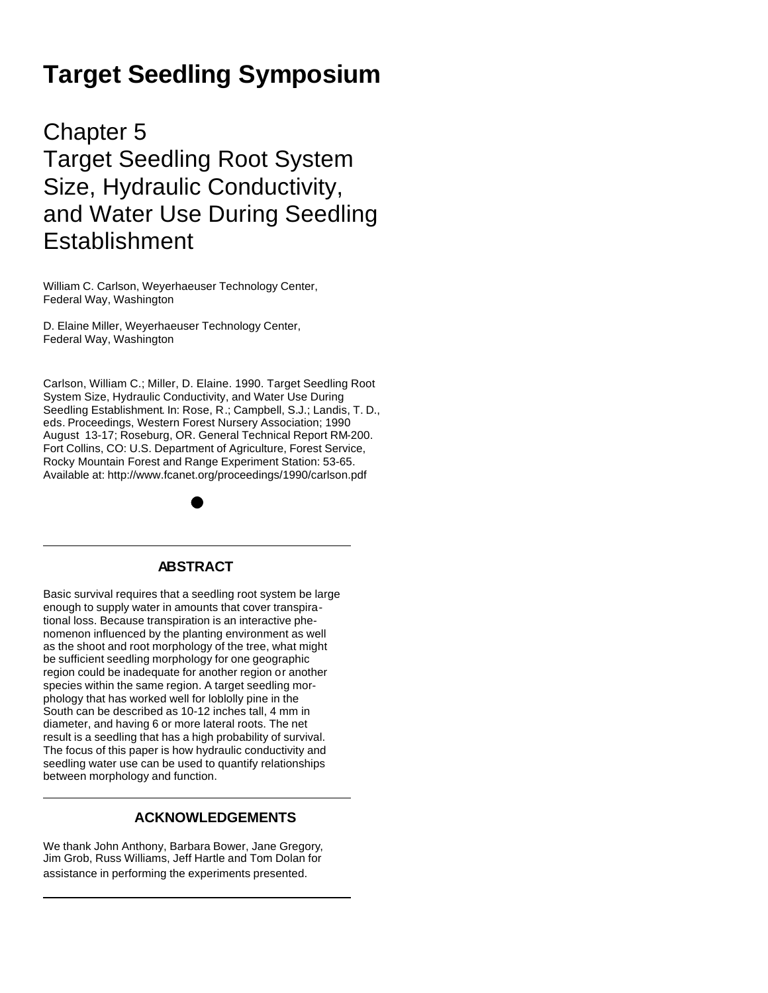# **Target Seedling Symposium**

Chapter 5 Target Seedling Root System Size, Hydraulic Conductivity, and Water Use During Seedling **Establishment** 

William C. Carlson, Weyerhaeuser Technology Center, Federal Way, Washington

D. Elaine Miller, Weyerhaeuser Technology Center, Federal Way, Washington

Carlson, William C.; Miller, D. Elaine. 1990. Target Seedling Root System Size, Hydraulic Conductivity, and Water Use During Seedling Establishment. In: Rose, R.; Campbell, S.J.; Landis, T. D., eds. Proceedings, Western Forest Nursery Association; 1990 August 13-17; Roseburg, OR. General Technical Report RM-200. Fort Collins, CO: U.S. Department of Agriculture, Forest Service, Rocky Mountain Forest and Range Experiment Station: 53-65. Available at: http://www.fcanet.org/proceedings/1990/carlson.pdf

# **ABSTRACT**

Basic survival requires that a seedling root system be large enough to supply water in amounts that cover transpirational loss. Because transpiration is an interactive phenomenon influenced by the planting environment as well as the shoot and root morphology of the tree, what might be sufficient seedling morphology for one geographic region could be inadequate for another region or another species within the same region. A target seedling morphology that has worked well for loblolly pine in the South can be described as 10-12 inches tall, 4 mm in diameter, and having 6 or more lateral roots. The net result is a seedling that has a high probability of survival. The focus of this paper is how hydraulic conductivity and seedling water use can be used to quantify relationships between morphology and function.

# **ACKNOWLEDGEMENTS**

We thank John Anthony, Barbara Bower, Jane Gregory, Jim Grob, Russ Williams, Jeff Hartle and Tom Dolan for assistance in performing the experiments presented.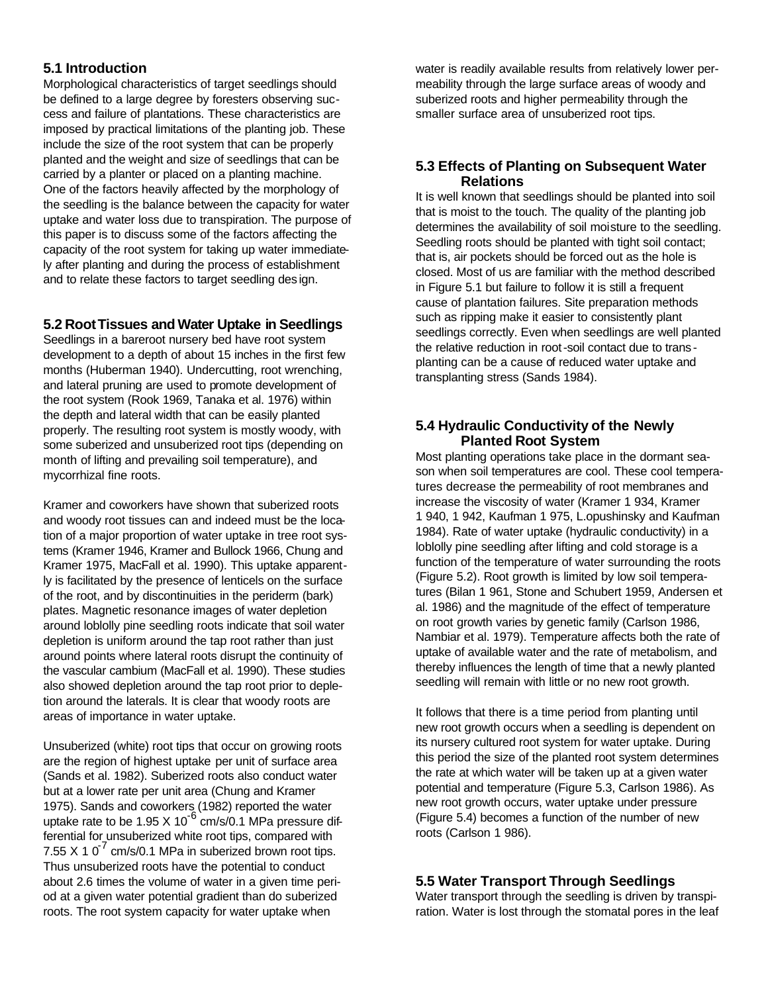# **5.1 Introduction**

Morphological characteristics of target seedlings should be defined to a large degree by foresters observing success and failure of plantations. These characteristics are imposed by practical limitations of the planting job. These include the size of the root system that can be properly planted and the weight and size of seedlings that can be carried by a planter or placed on a planting machine. One of the factors heavily affected by the morphology of the seedling is the balance between the capacity for water uptake and water loss due to transpiration. The purpose of this paper is to discuss some of the factors affecting the capacity of the root system for taking up water immediately after planting and during the process of establishment and to relate these factors to target seedling des ign.

## **5.2 RootTissues and Water Uptake in Seedlings**

Seedlings in a bareroot nursery bed have root system development to a depth of about 15 inches in the first few months (Huberman 1940). Undercutting, root wrenching, and lateral pruning are used to promote development of the root system (Rook 1969, Tanaka et al. 1976) within the depth and lateral width that can be easily planted properly. The resulting root system is mostly woody, with some suberized and unsuberized root tips (depending on month of lifting and prevailing soil temperature), and mycorrhizal fine roots.

Kramer and coworkers have shown that suberized roots and woody root tissues can and indeed must be the location of a major proportion of water uptake in tree root systems (Kramer 1946, Kramer and Bullock 1966, Chung and Kramer 1975, MacFall et al. 1990). This uptake apparently is facilitated by the presence of lenticels on the surface of the root, and by discontinuities in the periderm (bark) plates. Magnetic resonance images of water depletion around loblolly pine seedling roots indicate that soil water depletion is uniform around the tap root rather than just around points where lateral roots disrupt the continuity of the vascular cambium (MacFall et al. 1990). These studies also showed depletion around the tap root prior to depletion around the laterals. It is clear that woody roots are areas of importance in water uptake.

Unsuberized (white) root tips that occur on growing roots are the region of highest uptake per unit of surface area (Sands et al. 1982). Suberized roots also conduct water but at a lower rate per unit area (Chung and Kramer 1975). Sands and coworkers (1982) reported the water uptake rate to be  $1.95 \times 10^{-6}$  cm/s/0.1 MPa pressure differential for unsuberized white root tips, compared with 7.55 X 1  $0^7$  cm/s/0.1 MPa in suberized brown root tips. Thus unsuberized roots have the potential to conduct about 2.6 times the volume of water in a given time period at a given water potential gradient than do suberized roots. The root system capacity for water uptake when

water is readily available results from relatively lower permeability through the large surface areas of woody and suberized roots and higher permeability through the smaller surface area of unsuberized root tips.

## **5.3 Effects of Planting on Subsequent Water Relations**

It is well known that seedlings should be planted into soil that is moist to the touch. The quality of the planting job determines the availability of soil moisture to the seedling. Seedling roots should be planted with tight soil contact; that is, air pockets should be forced out as the hole is closed. Most of us are familiar with the method described in Figure 5.1 but failure to follow it is still a frequent cause of plantation failures. Site preparation methods such as ripping make it easier to consistently plant seedlings correctly. Even when seedlings are well planted the relative reduction in root-soil contact due to trans planting can be a cause of reduced water uptake and transplanting stress (Sands 1984).

## **5.4 Hydraulic Conductivity of the Newly Planted Root System**

Most planting operations take place in the dormant season when soil temperatures are cool. These cool temperatures decrease the permeability of root membranes and increase the viscosity of water (Kramer 1 934, Kramer 1 940, 1 942, Kaufman 1 975, L.opushinsky and Kaufman 1984). Rate of water uptake (hydraulic conductivity) in a loblolly pine seedling after lifting and cold storage is a function of the temperature of water surrounding the roots (Figure 5.2). Root growth is limited by low soil temperatures (Bilan 1 961, Stone and Schubert 1959, Andersen et al. 1986) and the magnitude of the effect of temperature on root growth varies by genetic family (Carlson 1986, Nambiar et al. 1979). Temperature affects both the rate of uptake of available water and the rate of metabolism, and thereby influences the length of time that a newly planted seedling will remain with little or no new root growth.

It follows that there is a time period from planting until new root growth occurs when a seedling is dependent on its nursery cultured root system for water uptake. During this period the size of the planted root system determines the rate at which water will be taken up at a given water potential and temperature (Figure 5.3, Carlson 1986). As new root growth occurs, water uptake under pressure (Figure 5.4) becomes a function of the number of new roots (Carlson 1 986).

# **5.5 Water Transport Through Seedlings**

Water transport through the seedling is driven by transpiration. Water is lost through the stomatal pores in the leaf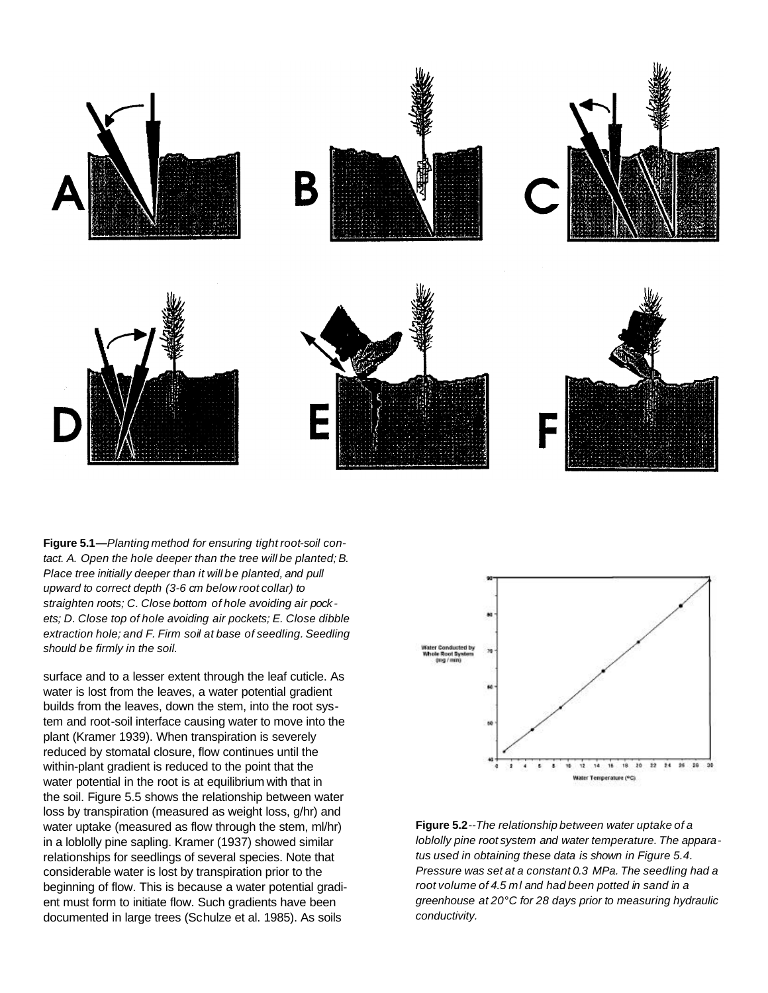

**Figure 5.1—***Planting method for ensuring tight root-soil contact. A. Open the hole deeper than the tree will be planted; B. Place tree initially deeper than it will be planted, and pull upward to correct depth (3-6 cm below root collar) to straighten roots; C. Close bottom of hole avoiding air pockets; D. Close top of hole avoiding air pockets; E. Close dibble extraction hole; and F. Firm soil at base of seedling. Seedling should be firmly in the soil.*

surface and to a lesser extent through the leaf cuticle. As water is lost from the leaves, a water potential gradient builds from the leaves, down the stem, into the root system and root-soil interface causing water to move into the plant (Kramer 1939). When transpiration is severely reduced by stomatal closure, flow continues until the within-plant gradient is reduced to the point that the water potential in the root is at equilibrium with that in the soil. Figure 5.5 shows the relationship between water loss by transpiration (measured as weight loss, g/hr) and water uptake (measured as flow through the stem, ml/hr) in a loblolly pine sapling. Kramer (1937) showed similar relationships for seedlings of several species. Note that considerable water is lost by transpiration prior to the beginning of flow. This is because a water potential gradient must form to initiate flow. Such gradients have been documented in large trees (Schulze et al. 1985). As soils



**Figure 5.2***--The relationship between water uptake of a loblolly pine root system and water temperature. The apparatus used in obtaining these data is shown in Figure 5.4. Pressure was set at a constant 0.3 MPa. The seedling had a root volume of 4.5 ml and had been potted in sand in a greenhouse at 20°C for 28 days prior to measuring hydraulic conductivity.*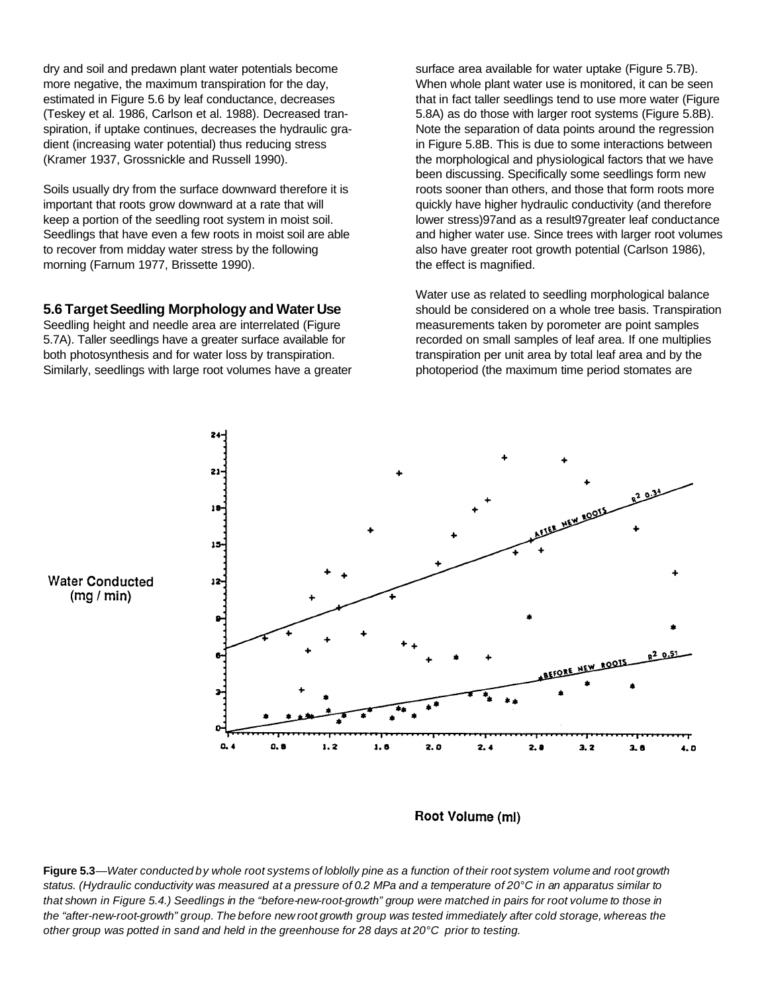dry and soil and predawn plant water potentials become more negative, the maximum transpiration for the day, estimated in Figure 5.6 by leaf conductance, decreases (Teskey et al. 1986, Carlson et al. 1988). Decreased transpiration, if uptake continues, decreases the hydraulic gradient (increasing water potential) thus reducing stress (Kramer 1937, Grossnickle and Russell 1990).

Soils usually dry from the surface downward therefore it is important that roots grow downward at a rate that will keep a portion of the seedling root system in moist soil. Seedlings that have even a few roots in moist soil are able to recover from midday water stress by the following morning (Farnum 1977, Brissette 1990).

#### **5.6 TargetSeedling Morphology and Water Use**

Seedling height and needle area are interrelated (Figure 5.7A). Taller seedlings have a greater surface available for both photosynthesis and for water loss by transpiration. Similarly, seedlings with large root volumes have a greater surface area available for water uptake (Figure 5.7B). When whole plant water use is monitored, it can be seen that in fact taller seedlings tend to use more water (Figure 5.8A) as do those with larger root systems (Figure 5.8B). Note the separation of data points around the regression in Figure 5.8B. This is due to some interactions between the morphological and physiological factors that we have been discussing. Specifically some seedlings form new roots sooner than others, and those that form roots more quickly have higher hydraulic conductivity (and therefore lower stress)97and as a result97greater leaf conductance and higher water use. Since trees with larger root volumes also have greater root growth potential (Carlson 1986), the effect is magnified.

Water use as related to seedling morphological balance should be considered on a whole tree basis. Transpiration measurements taken by porometer are point samples recorded on small samples of leaf area. If one multiplies transpiration per unit area by total leaf area and by the photoperiod (the maximum time period stomates are



**Water Conducted**  $(mg/min)$ 

Root Volume (ml)

Figure 5.3—Water conducted by whole root systems of loblolly pine as a function of their root system volume and root growth status. (Hydraulic conductivity was measured at a pressure of 0.2 MPa and a temperature of 20°C in an apparatus similar to that shown in Figure 5.4.) Seedlings in the "before-new-root-growth" group were matched in pairs for root volume to those in the "after-new-root-growth" group. The before new root growth group was tested immediately after cold storage, whereas the other group was potted in sand and held in the greenhouse for 28 days at 20°C prior to testing.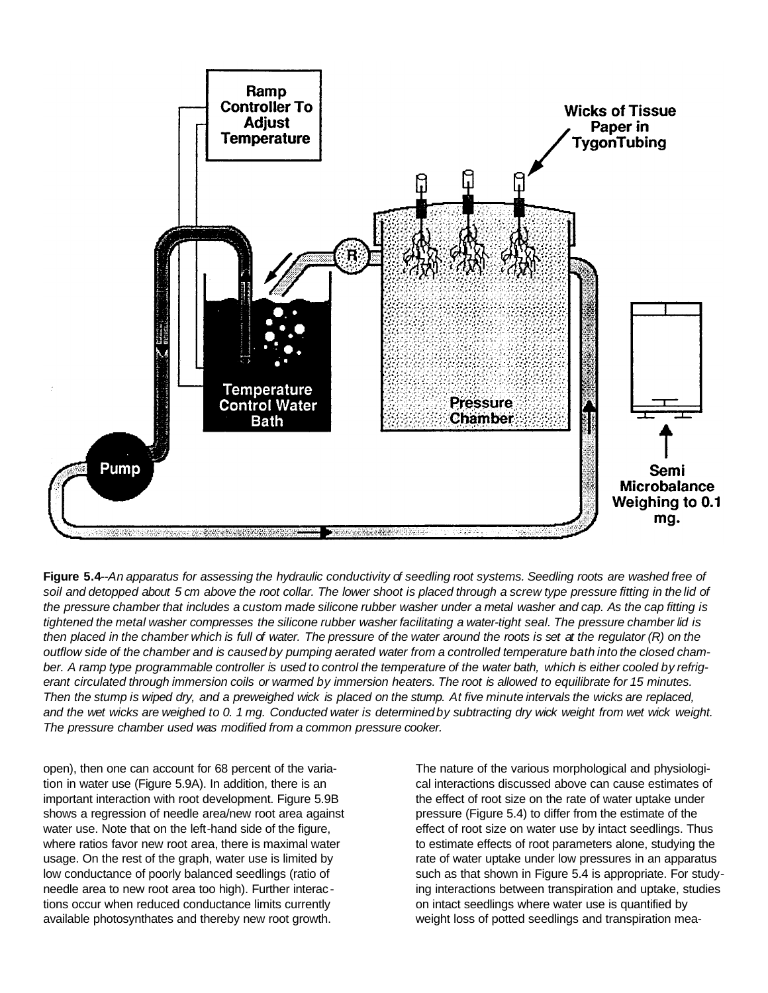

Figure 5.4--An apparatus for assessing the hydraulic conductivity of seedling root systems. Seedling roots are washed free of soil and detopped about 5 cm above the root collar. The lower shoot is placed through a screw type pressure fitting in the lid of the pressure chamber that includes a custom made silicone rubber washer under a metal washer and cap. As the cap fitting is tightened the metal washer compresses the silicone rubber washer facilitating a water-tight seal. The pressure chamber lid is then placed in the chamber which is full of water. The pressure of the water around the roots is set at the regulator  $(R)$  on the outflow side of the chamber and is caused by pumping aerated water from a controlled temperature bath into the closed chamber. A ramp type programmable controller is used to control the temperature of the water bath, which is either cooled by refrigerant circulated through immersion coils or warmed by immersion heaters. The root is allowed to equilibrate for 15 minutes. Then the stump is wiped dry, and a preweighed wick is placed on the stump. At five minute intervals the wicks are replaced, and the wet wicks are weighed to 0. 1 mg. Conducted water is determined by subtracting dry wick weight from wet wick weight. *The pressure chamber used was modified from a common pressure cooker.*

open), then one can account for 68 percent of the variation in water use (Figure 5.9A). In addition, there is an important interaction with root development. Figure 5.9B shows a regression of needle area/new root area against water use. Note that on the left-hand side of the figure, where ratios favor new root area, there is maximal water usage. On the rest of the graph, water use is limited by low conductance of poorly balanced seedlings (ratio of needle area to new root area too high). Further interac tions occur when reduced conductance limits currently available photosynthates and thereby new root growth.

The nature of the various morphological and physiological interactions discussed above can cause estimates of the effect of root size on the rate of water uptake under pressure (Figure 5.4) to differ from the estimate of the effect of root size on water use by intact seedlings. Thus to estimate effects of root parameters alone, studying the rate of water uptake under low pressures in an apparatus such as that shown in Figure 5.4 is appropriate. For studying interactions between transpiration and uptake, studies on intact seedlings where water use is quantified by weight loss of potted seedlings and transpiration mea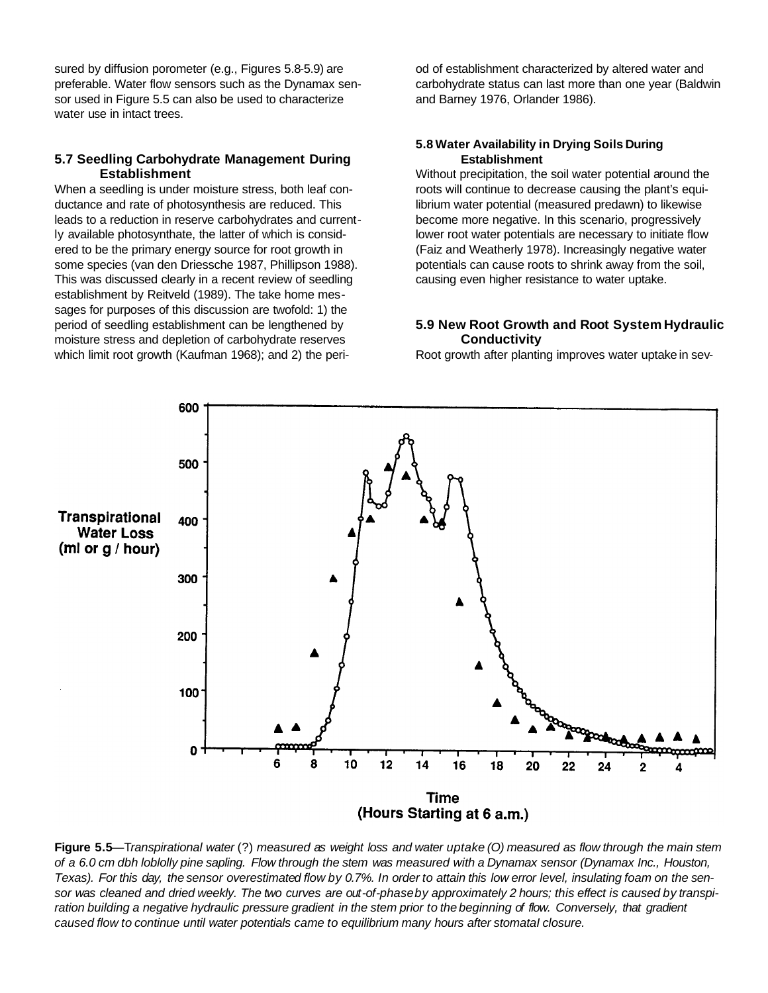sured by diffusion porometer (e.g., Figures 5.8-5.9) are preferable. Water flow sensors such as the Dynamax sensor used in Figure 5.5 can also be used to characterize water use in intact trees.

#### **5.7 Seedling Carbohydrate Management During Establishment**

When a seedling is under moisture stress, both leaf conductance and rate of photosynthesis are reduced. This leads to a reduction in reserve carbohydrates and currently available photosynthate, the latter of which is considered to be the primary energy source for root growth in some species (van den Driessche 1987, Phillipson 1988). This was discussed clearly in a recent review of seedling establishment by Reitveld (1989). The take home messages for purposes of this discussion are twofold: 1) the period of seedling establishment can be lengthened by moisture stress and depletion of carbohydrate reserves which limit root growth (Kaufman 1968); and 2) the period of establishment characterized by altered water and carbohydrate status can last more than one year (Baldwin and Barney 1976, Orlander 1986).

#### **5.8 Water Availability in Drying Soils During Establishment**

Without precipitation, the soil water potential around the roots will continue to decrease causing the plant's equilibrium water potential (measured predawn) to likewise become more negative. In this scenario, progressively lower root water potentials are necessary to initiate flow (Faiz and Weatherly 1978). Increasingly negative water potentials can cause roots to shrink away from the soil, causing even higher resistance to water uptake.

#### **5.9 New Root Growth and Root System Hydraulic Conductivity**

Root growth after planting improves water uptake in sev-



Figure 5.5—Transpirational water (?) measured as weight loss and water uptake (O) measured as flow through the main stem of a 6.0 cm dbh loblolly pine sapling. Flow through the stem was measured with a Dynamax sensor (Dynamax Inc., Houston, Texas). For this day, the sensor overestimated flow by 0.7%. In order to attain this low error level, insulating foam on the sensor was cleaned and dried weekly. The two curves are out-of-phase by approximately 2 hours; this effect is caused by transpiration building a negative hydraulic pressure gradient in the stem prior to the beginning of flow. Conversely, that gradient *caused flow to continue until water potentials came to equilibrium many hours after stomataI closure.*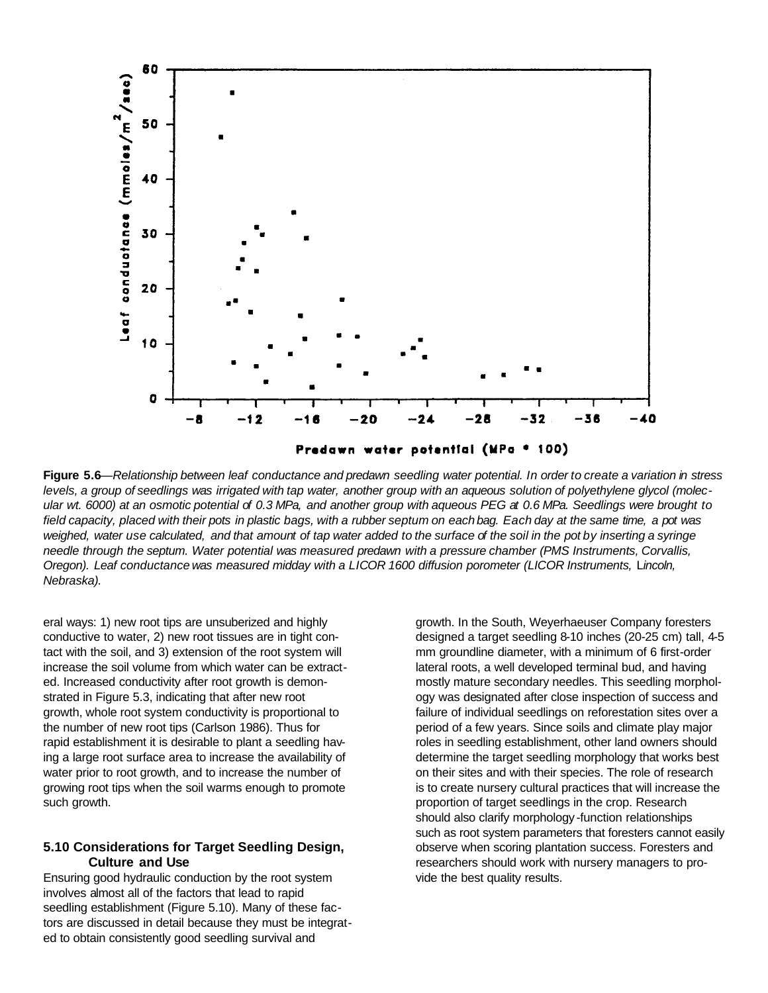

Figure 5.6—Relationship between leaf conductance and predawn seedling water potential. In order to create a variation in stress levels, a group of seedlings was irrigated with tap water, another group with an aqueous solution of polyethylene glycol (molecular wt. 6000) at an osmotic potential of 0.3 MPa, and another group with aqueous PEG at 0.6 MPa. Seedlings were brought to field capacity, placed with their pots in plastic bags, with a rubber septum on each bag. Each day at the same time, a pot was weighed, water use calculated, and that amount of tap water added to the surface of the soil in the pot by inserting a syringe needle through the septum. Water potential was measured predawn with a pressure chamber (PMS Instruments, Corvallis, *Oregon). Leaf conductance was measured midday with a LICOR 1600 diffusion porometer (LICOR Instruments,* L*incoln, Nebraska).*

eral ways: 1) new root tips are unsuberized and highly conductive to water, 2) new root tissues are in tight contact with the soil, and 3) extension of the root system will increase the soil volume from which water can be extracted. Increased conductivity after root growth is demonstrated in Figure 5.3, indicating that after new root growth, whole root system conductivity is proportional to the number of new root tips (Carlson 1986). Thus for rapid establishment it is desirable to plant a seedling having a large root surface area to increase the availability of water prior to root growth, and to increase the number of growing root tips when the soil warms enough to promote such growth.

#### **5.10 Considerations for Target Seedling Design, Culture and Use**

Ensuring good hydraulic conduction by the root system involves almost all of the factors that lead to rapid seedling establishment (Figure 5.10). Many of these factors are discussed in detail because they must be integrated to obtain consistently good seedling survival and

growth. In the South, Weyerhaeuser Company foresters designed a target seedling 8-10 inches (20-25 cm) tall, 4-5 mm groundline diameter, with a minimum of 6 first-order lateral roots, a well developed terminal bud, and having mostly mature secondary needles. This seedling morphology was designated after close inspection of success and failure of individual seedlings on reforestation sites over a period of a few years. Since soils and climate play major roles in seedling establishment, other land owners should determine the target seedling morphology that works best on their sites and with their species. The role of research is to create nursery cultural practices that will increase the proportion of target seedlings in the crop. Research should also clarify morphology -function relationships such as root system parameters that foresters cannot easily observe when scoring plantation success. Foresters and researchers should work with nursery managers to provide the best quality results.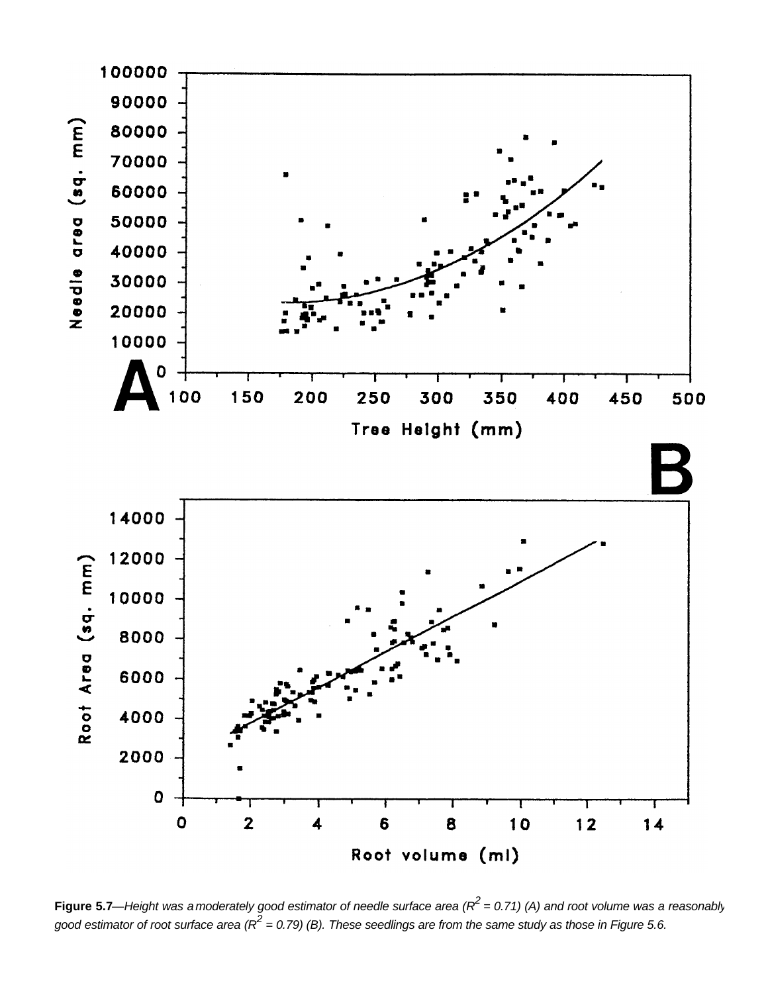

**Figure 5.7**—Height was a moderately good estimator of needle surface area (R<sup>2</sup> = 0.71) (A) and root volume was a reasonably *good estimator of root surface area (R<sup>2</sup> = 0.79) (B). These seedlings are from the same study as those in Figure 5.6.*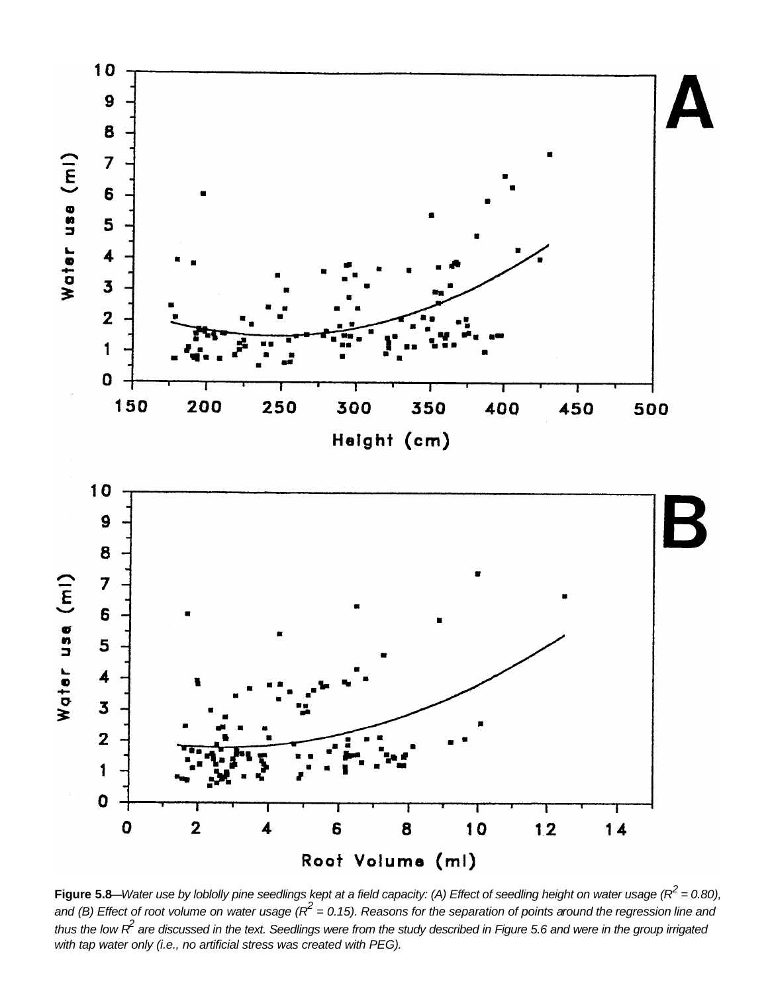

**Figure 5.8**—*Water use by loblolly pine seedlings kept at a field capacity: (A) Effect of seedling height on water usage (R<sup>2</sup> = 0.80),* and (B) Effect of root volume on water usage ( $R^2$  = 0.15). Reasons for the separation of points around the regression line and *thus the low R<sup>2</sup> are discussed in the text. Seedlings were from the study described in Figure 5.6 and were in the group irrigated with tap water only (i.e., no artificial stress was created with PEG).*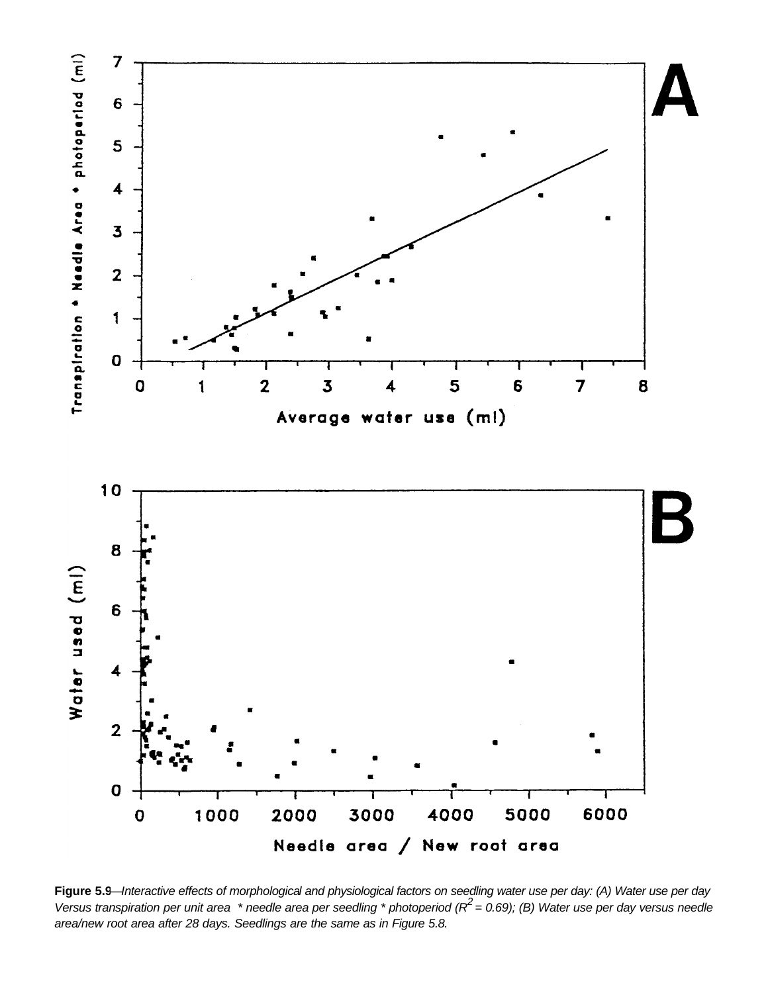

**Figure 5.9**—*Interactive effects of morphological and physiological factors on seedling water use per day: (A) Water use per day Versus transpiration per unit area \* needle area per seedling \* photoperiod (R2 = 0.69); (B) Water use per day versus needle area/new root area after 28 days. Seedlings are the same as in Figure 5.8.*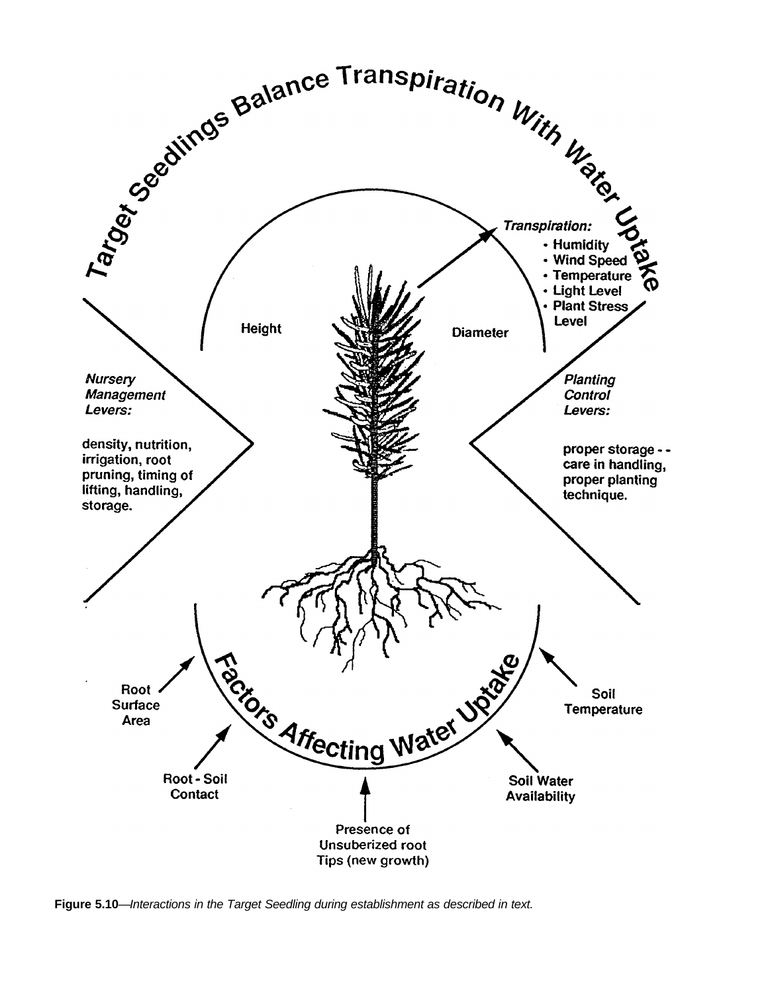

**Figure 5.10**—*Interactions in the Target Seedling during establishment as described in text.*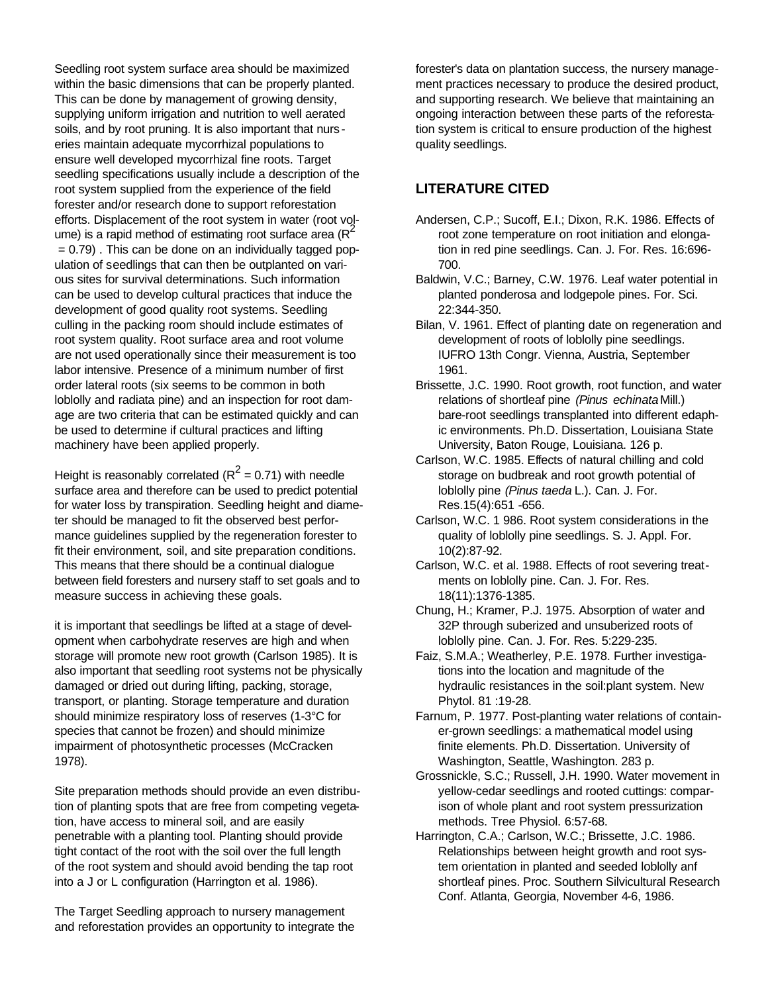Seedling root system surface area should be maximized within the basic dimensions that can be properly planted. This can be done by management of growing density, supplying uniform irrigation and nutrition to well aerated soils, and by root pruning. It is also important that nurs eries maintain adequate mycorrhizal populations to ensure well developed mycorrhizal fine roots. Target seedling specifications usually include a description of the root system supplied from the experience of the field forester and/or research done to support reforestation efforts. Displacement of the root system in water (root volume) is a rapid method of estimating root surface area ( $R^2$ )  $= 0.79$ ). This can be done on an individually tagged population of seedlings that can then be outplanted on various sites for survival determinations. Such information can be used to develop cultural practices that induce the development of good quality root systems. Seedling culling in the packing room should include estimates of root system quality. Root surface area and root volume are not used operationally since their measurement is too labor intensive. Presence of a minimum number of first order lateral roots (six seems to be common in both loblolly and radiata pine) and an inspection for root damage are two criteria that can be estimated quickly and can be used to determine if cultural practices and lifting machinery have been applied properly.

Height is reasonably correlated ( $R^2$  = 0.71) with needle surface area and therefore can be used to predict potential for water loss by transpiration. Seedling height and diameter should be managed to fit the observed best performance guidelines supplied by the regeneration forester to fit their environment, soil, and site preparation conditions. This means that there should be a continual dialogue between field foresters and nursery staff to set goals and to measure success in achieving these goals.

it is important that seedlings be lifted at a stage of development when carbohydrate reserves are high and when storage will promote new root growth (Carlson 1985). It is also important that seedling root systems not be physically damaged or dried out during lifting, packing, storage, transport, or planting. Storage temperature and duration should minimize respiratory loss of reserves (1-3°C for species that cannot be frozen) and should minimize impairment of photosynthetic processes (McCracken 1978).

Site preparation methods should provide an even distribution of planting spots that are free from competing vegetation, have access to mineral soil, and are easily penetrable with a planting tool. Planting should provide tight contact of the root with the soil over the full length of the root system and should avoid bending the tap root into a J or L configuration (Harrington et al. 1986).

The Target Seedling approach to nursery management and reforestation provides an opportunity to integrate the

forester's data on plantation success, the nursery management practices necessary to produce the desired product, and supporting research. We believe that maintaining an ongoing interaction between these parts of the reforestation system is critical to ensure production of the highest quality seedlings.

# **LITERATURE CITED**

- Andersen, C.P.; Sucoff, E.I.; Dixon, R.K. 1986. Effects of root zone temperature on root initiation and elongation in red pine seedlings. Can. J. For. Res. 16:696- 700.
- Baldwin, V.C.; Barney, C.W. 1976. Leaf water potential in planted ponderosa and lodgepole pines. For. Sci. 22:344-350.
- Bilan, V. 1961. Effect of planting date on regeneration and development of roots of loblolly pine seedlings. IUFRO 13th Congr. Vienna, Austria, September 1961.
- Brissette, J.C. 1990. Root growth, root function, and water relations of shortleaf pine *(Pinus echinata* Mill.) bare-root seedlings transplanted into different edaphic environments. Ph.D. Dissertation, Louisiana State University, Baton Rouge, Louisiana. 126 p.
- Carlson, W.C. 1985. Effects of natural chilling and cold storage on budbreak and root growth potential of loblolly pine *(Pinus taeda* L.). Can. J. For. Res.15(4):651 -656.
- Carlson, W.C. 1 986. Root system considerations in the quality of loblolly pine seedlings. S. J. Appl. For. 10(2):87-92.
- Carlson, W.C. et al. 1988. Effects of root severing treatments on loblolly pine. Can. J. For. Res. 18(11):1376-1385.
- Chung, H.; Kramer, P.J. 1975. Absorption of water and 32P through suberized and unsuberized roots of loblolly pine. Can. J. For. Res. 5:229-235.
- Faiz, S.M.A.; Weatherley, P.E. 1978. Further investigations into the location and magnitude of the hydraulic resistances in the soil:plant system. New Phytol. 81 :19-28.
- Farnum, P. 1977. Post-planting water relations of container-grown seedlings: a mathematical model using finite elements. Ph.D. Dissertation. University of Washington, Seattle, Washington. 283 p.
- Grossnickle, S.C.; Russell, J.H. 1990. Water movement in yellow-cedar seedlings and rooted cuttings: comparison of whole plant and root system pressurization methods. Tree Physiol. 6:57-68.
- Harrington, C.A.; Carlson, W.C.; Brissette, J.C. 1986. Relationships between height growth and root system orientation in planted and seeded loblolly anf shortleaf pines. Proc. Southern Silvicultural Research Conf. Atlanta, Georgia, November 4-6, 1986.